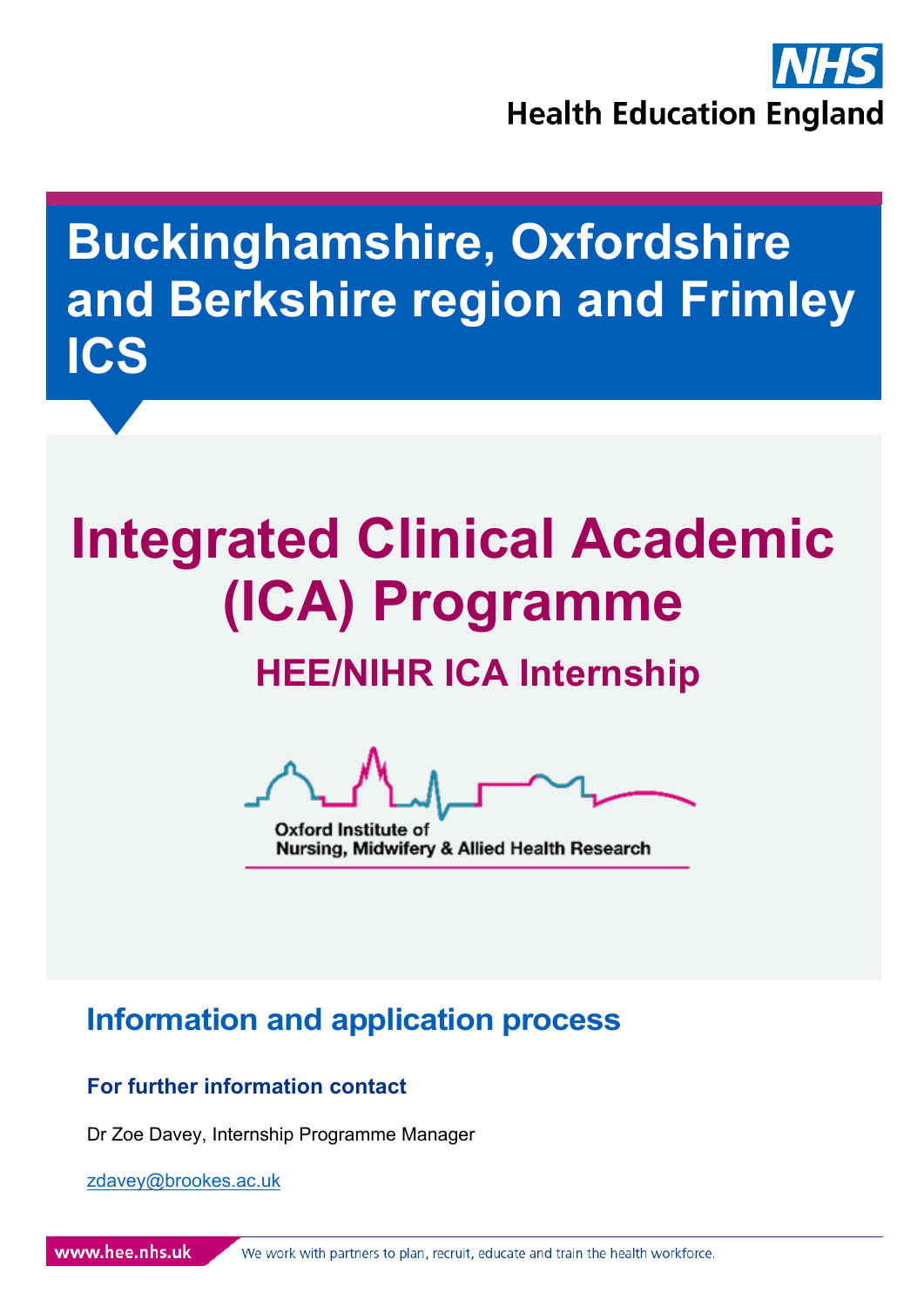

# **Buckinghamshire, Oxfordshire and Berkshire region and Frimley ICS**

# **Integrated Clinical Academic (ICA) Programme**

# **HEE/NIHR ICA Internship**

Oxford Institute of Nursing, Midwifery & Allied Health Research

## **Information and application process**

#### **For further information contact**

Dr Zoe Davey, Internship Programme Manager

zdavey@brookes.ac.uk

www.hee.nhs.uk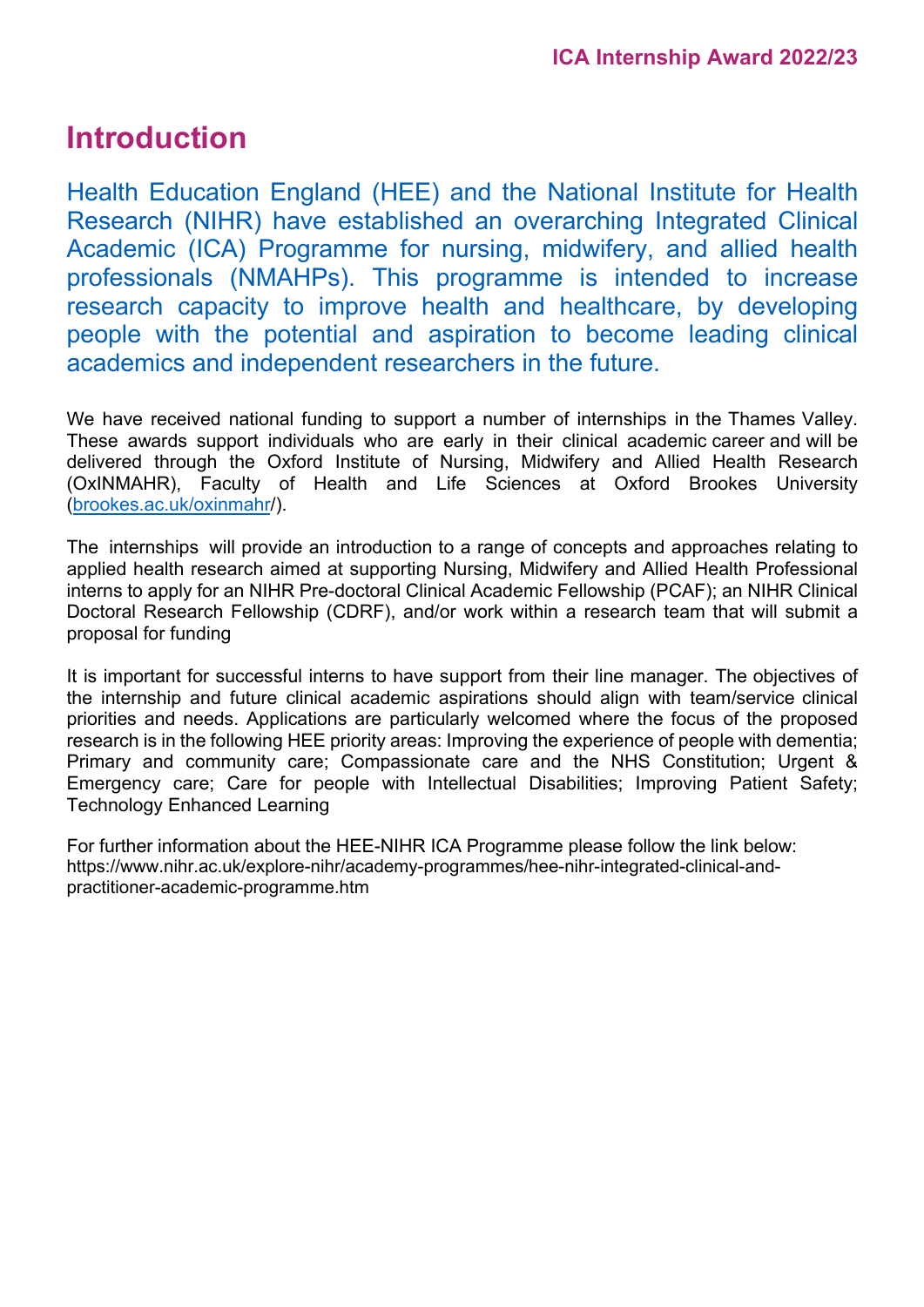## **Introduction**

Health Education England (HEE) and the National Institute for Health Research (NIHR) have established an overarching Integrated Clinical Academic (ICA) Programme for nursing, midwifery, and allied health professionals (NMAHPs). This programme is intended to increase research capacity to improve health and healthcare, by developing people with the potential and aspiration to become leading clinical academics and independent researchers in the future.

We have received national funding to support a number of internships in the Thames Valley. These awards support individuals who are early in their clinical academic career and will be delivered through the Oxford Institute of Nursing, Midwifery and Allied Health Research (OxINMAHR), Faculty of Health and Life Sciences at Oxford Brookes University (brookes.ac.uk/oxinmahr/).

The internships will provide an introduction to a range of concepts and approaches relating to applied health research aimed at supporting Nursing, Midwifery and Allied Health Professional interns to apply for an NIHR Pre-doctoral Clinical Academic Fellowship (PCAF); an NIHR Clinical Doctoral Research Fellowship (CDRF), and/or work within a research team that will submit a proposal for funding

It is important for successful interns to have support from their line manager. The objectives of the internship and future clinical academic aspirations should align with team/service clinical priorities and needs. Applications are particularly welcomed where the focus of the proposed research is in the following HEE priority areas: Improving the experience of people with dementia; Primary and community care; Compassionate care and the NHS Constitution; Urgent & Emergency care; Care for people with Intellectual Disabilities; Improving Patient Safety; Technology Enhanced Learning

For further information about the HEE-NIHR ICA Programme please follow the link below: https://www.nihr.ac.uk/explore-nihr/academy-programmes/hee-nihr-integrated-clinical-andpractitioner-academic-programme.htm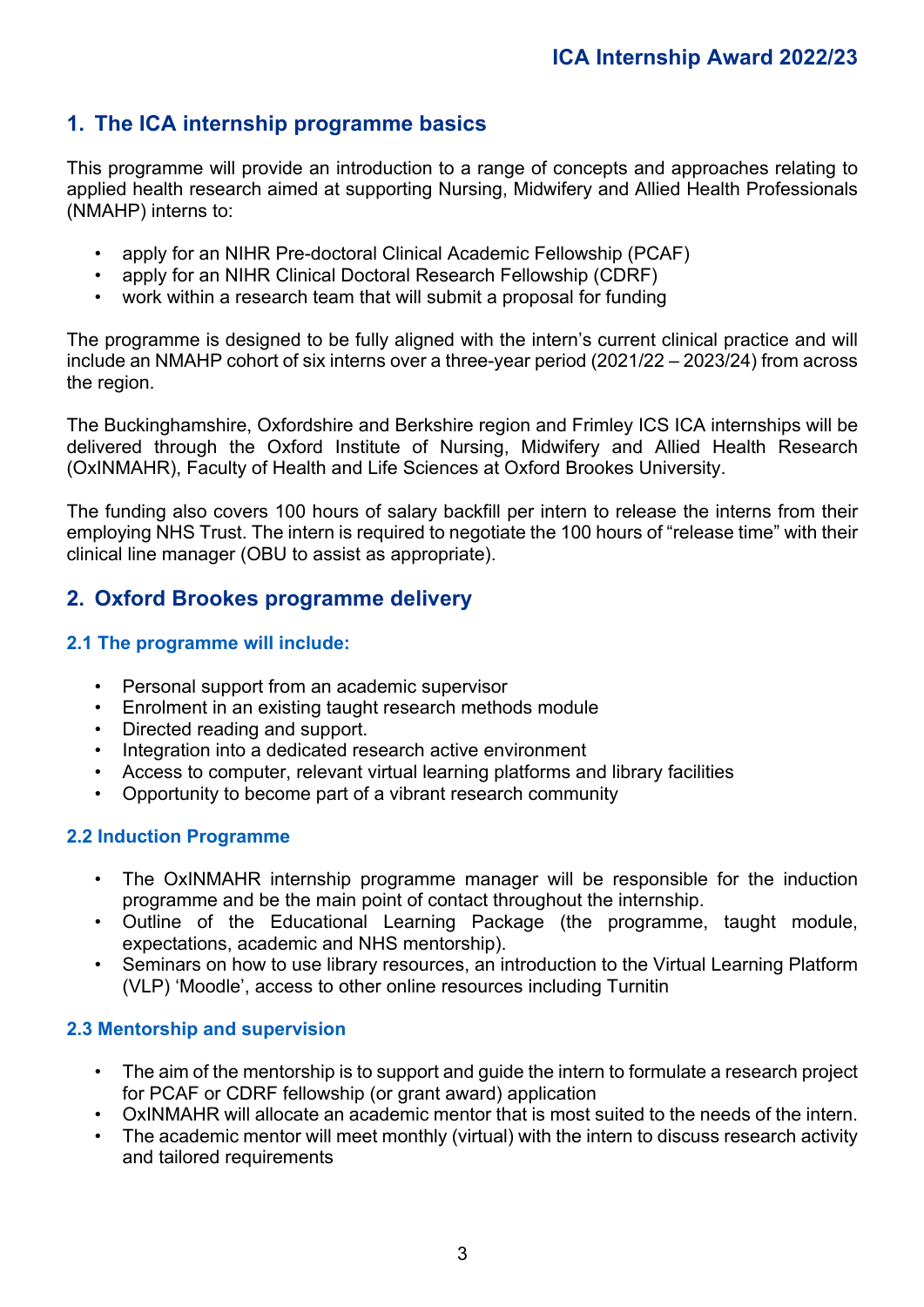#### **1. The ICA internship programme basics**

This programme will provide an introduction to a range of concepts and approaches relating to applied health research aimed at supporting Nursing, Midwifery and Allied Health Professionals (NMAHP) interns to:

- apply for an NIHR Pre-doctoral Clinical Academic Fellowship (PCAF)
- apply for an NIHR Clinical Doctoral Research Fellowship (CDRF)
- work within a research team that will submit a proposal for funding

The programme is designed to be fully aligned with the intern's current clinical practice and will include an NMAHP cohort of six interns over a three-year period (2021/22 – 2023/24) from across the region.

The Buckinghamshire, Oxfordshire and Berkshire region and Frimley ICS ICA internships will be delivered through the Oxford Institute of Nursing, Midwifery and Allied Health Research (OxINMAHR), Faculty of Health and Life Sciences at Oxford Brookes University.

The funding also covers 100 hours of salary backfill per intern to release the interns from their employing NHS Trust. The intern is required to negotiate the 100 hours of "release time" with their clinical line manager (OBU to assist as appropriate).

#### **2. Oxford Brookes programme delivery**

#### **2.1 The programme will include:**

- Personal support from an academic supervisor
- Enrolment in an existing taught research methods module
- Directed reading and support.
- Integration into a dedicated research active environment
- Access to computer, relevant virtual learning platforms and library facilities
- Opportunity to become part of a vibrant research community

#### **2.2 Induction Programme**

- The OxINMAHR internship programme manager will be responsible for the induction programme and be the main point of contact throughout the internship.
- Outline of the Educational Learning Package (the programme, taught module, expectations, academic and NHS mentorship).
- Seminars on how to use library resources, an introduction to the Virtual Learning Platform (VLP) 'Moodle', access to other online resources including Turnitin

#### **2.3 Mentorship and supervision**

- The aim of the mentorship is to support and guide the intern to formulate a research project for PCAF or CDRF fellowship (or grant award) application
- OxINMAHR will allocate an academic mentor that is most suited to the needs of the intern.
- The academic mentor will meet monthly (virtual) with the intern to discuss research activity and tailored requirements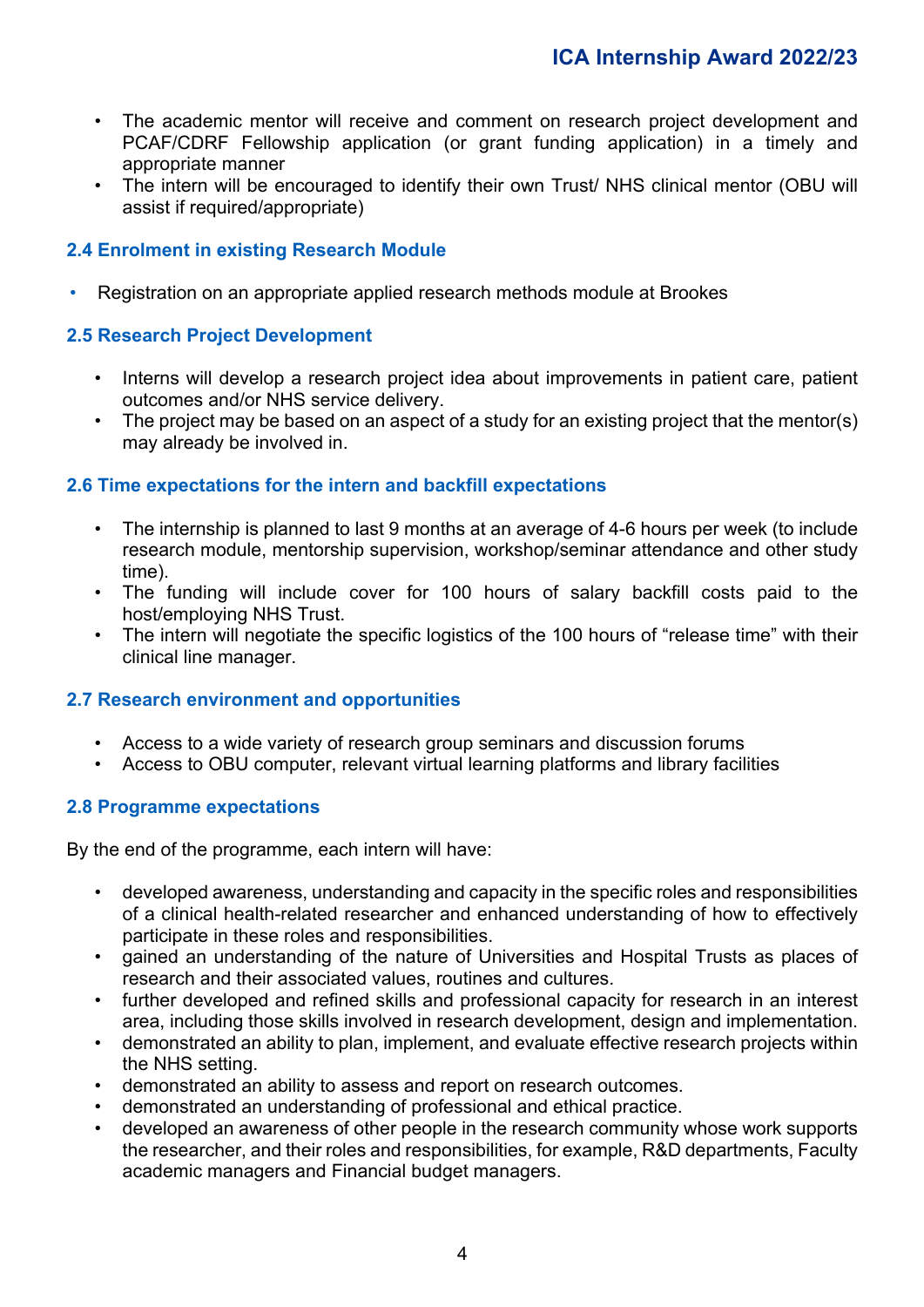- The academic mentor will receive and comment on research project development and PCAF/CDRF Fellowship application (or grant funding application) in a timely and appropriate manner
- The intern will be encouraged to identify their own Trust/ NHS clinical mentor (OBU will assist if required/appropriate)

#### **2.4 Enrolment in existing Research Module**

• Registration on an appropriate applied research methods module at Brookes

#### **2.5 Research Project Development**

- Interns will develop a research project idea about improvements in patient care, patient outcomes and/or NHS service delivery.
- The project may be based on an aspect of a study for an existing project that the mentor(s) may already be involved in.

#### **2.6 Time expectations for the intern and backfill expectations**

- The internship is planned to last 9 months at an average of 4-6 hours per week (to include research module, mentorship supervision, workshop/seminar attendance and other study time).
- The funding will include cover for 100 hours of salary backfill costs paid to the host/employing NHS Trust.
- The intern will negotiate the specific logistics of the 100 hours of "release time" with their clinical line manager.

#### **2.7 Research environment and opportunities**

- Access to a wide variety of research group seminars and discussion forums
- Access to OBU computer, relevant virtual learning platforms and library facilities

#### **2.8 Programme expectations**

By the end of the programme, each intern will have:

- developed awareness, understanding and capacity in the specific roles and responsibilities of a clinical health-related researcher and enhanced understanding of how to effectively participate in these roles and responsibilities.
- gained an understanding of the nature of Universities and Hospital Trusts as places of research and their associated values, routines and cultures.
- further developed and refined skills and professional capacity for research in an interest area, including those skills involved in research development, design and implementation.
- demonstrated an ability to plan, implement, and evaluate effective research projects within the NHS setting.
- demonstrated an ability to assess and report on research outcomes.
- demonstrated an understanding of professional and ethical practice.
- developed an awareness of other people in the research community whose work supports the researcher, and their roles and responsibilities, for example, R&D departments, Faculty academic managers and Financial budget managers.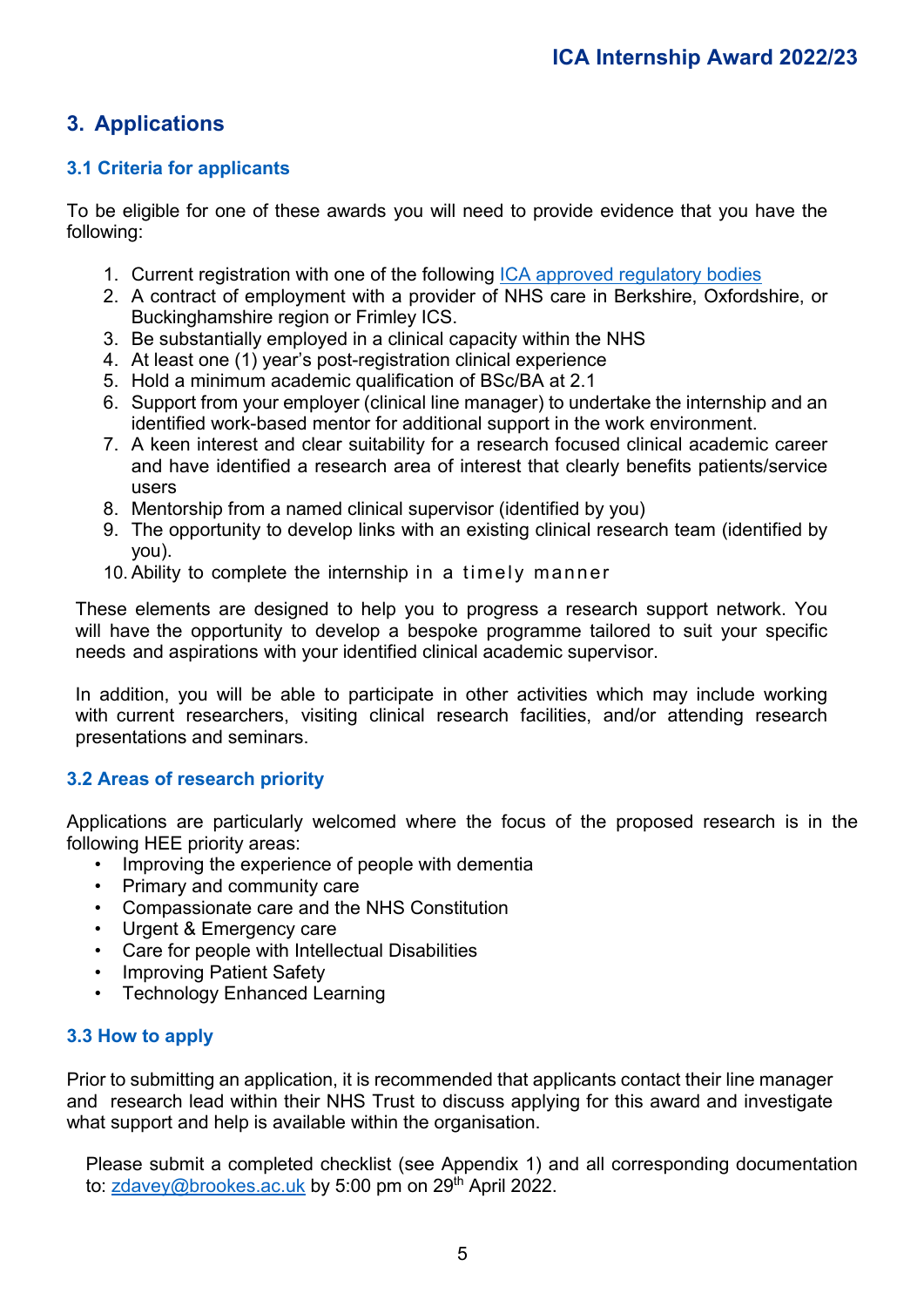#### **3. Applications**

#### **3.1 Criteria for applicants**

To be eligible for one of these awards you will need to provide evidence that you have the following:

- 1. Current registration with one of the following ICA approved regulatory bodies
- 2. A contract of employment with a provider of NHS care in Berkshire, Oxfordshire, or Buckinghamshire region or Frimley ICS.
- 3. Be substantially employed in a clinical capacity within the NHS
- 4. At least one (1) year's post-registration clinical experience
- 5. Hold a minimum academic qualification of BSc/BA at 2.1
- 6. Support from your employer (clinical line manager) to undertake the internship and an identified work-based mentor for additional support in the work environment.
- 7. A keen interest and clear suitability for a research focused clinical academic career and have identified a research area of interest that clearly benefits patients/service users
- 8. Mentorship from a named clinical supervisor (identified by you)
- 9. The opportunity to develop links with an existing clinical research team (identified by you).
- 10. Ability to complete the internship in a timely manner

These elements are designed to help you to progress a research support network. You will have the opportunity to develop a bespoke programme tailored to suit your specific needs and aspirations with your identified clinical academic supervisor.

In addition, you will be able to participate in other activities which may include working with current researchers, visiting clinical research facilities, and/or attending research presentations and seminars.

#### **3.2 Areas of research priority**

Applications are particularly welcomed where the focus of the proposed research is in the following HEE priority areas:

- Improving the experience of people with dementia
- Primary and community care
- Compassionate care and the NHS Constitution
- Urgent & Emergency care
- Care for people with Intellectual Disabilities
- Improving Patient Safety
- Technology Enhanced Learning

#### **3.3 How to apply**

Prior to submitting an application, it is recommended that applicants contact their line manager and research lead within their NHS Trust to discuss applying for this award and investigate what support and help is available within the organisation.

Please submit a completed checklist (see Appendix 1) and all corresponding documentation to: zdavey@brookes.ac.uk by 5:00 pm on 29<sup>th</sup> April 2022.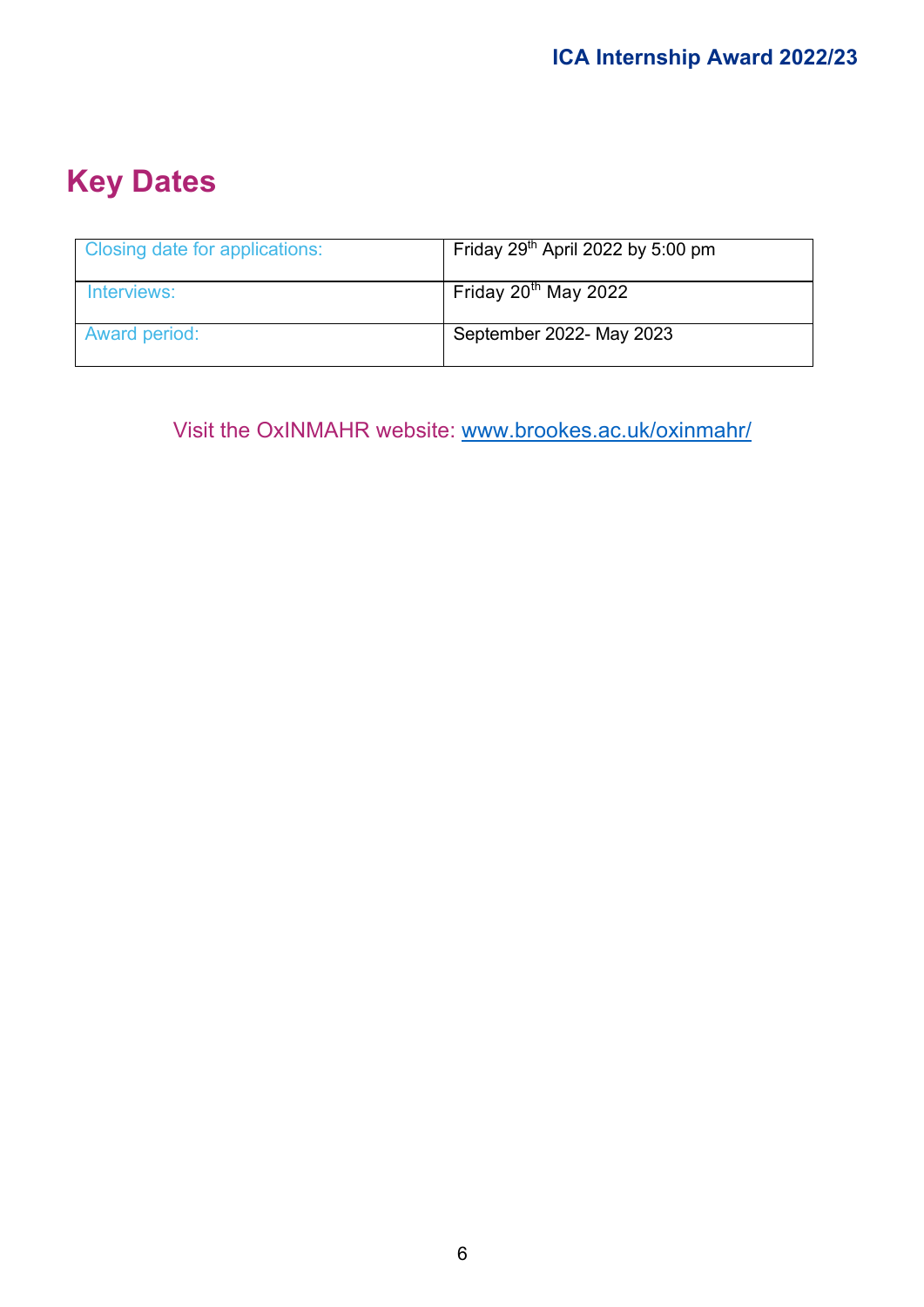# **Key Dates**

| Closing date for applications: | Friday $29th$ April 2022 by 5:00 pm |
|--------------------------------|-------------------------------------|
| Interviews:                    | Friday $20^{th}$ May 2022           |
| Award period:                  | September 2022- May 2023            |

Visit the OxINMAHR website: www.brookes.ac.uk/oxinmahr/